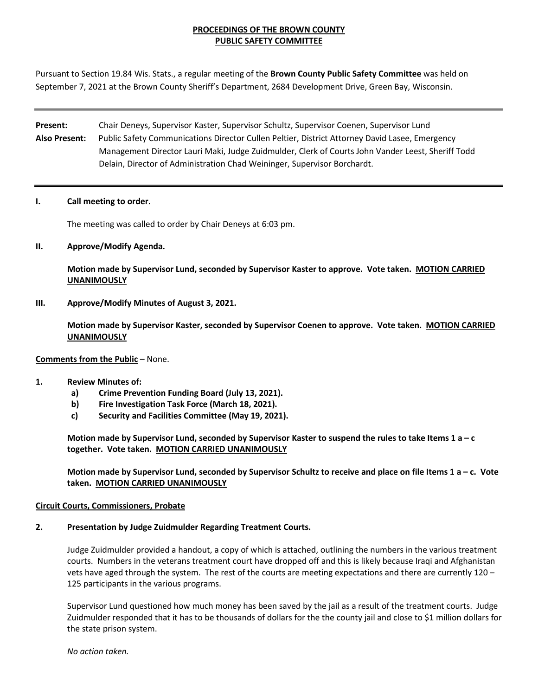## **PROCEEDINGS OF THE BROWN COUNTY PUBLIC SAFETY COMMITTEE**

Pursuant to Section 19.84 Wis. Stats., a regular meeting of the **Brown County Public Safety Committee** was held on September 7, 2021 at the Brown County Sheriff's Department, 2684 Development Drive, Green Bay, Wisconsin.

**Present:** Chair Deneys, Supervisor Kaster, Supervisor Schultz, Supervisor Coenen, Supervisor Lund **Also Present:** Public Safety Communications Director Cullen Peltier, District Attorney David Lasee, Emergency Management Director Lauri Maki, Judge Zuidmulder, Clerk of Courts John Vander Leest, Sheriff Todd Delain, Director of Administration Chad Weininger, Supervisor Borchardt.

#### **I. Call meeting to order.**

The meeting was called to order by Chair Deneys at 6:03 pm.

### **II. Approve/Modify Agenda.**

**Motion made by Supervisor Lund, seconded by Supervisor Kaster to approve. Vote taken. MOTION CARRIED UNANIMOUSLY**

**III. Approve/Modify Minutes of August 3, 2021.** 

**Motion made by Supervisor Kaster, seconded by Supervisor Coenen to approve. Vote taken. MOTION CARRIED UNANIMOUSLY**

### **Comments from the Public** – None.

### **1. Review Minutes of:**

- **a) Crime Prevention Funding Board (July 13, 2021).**
- **b) Fire Investigation Task Force (March 18, 2021).**
- **c) Security and Facilities Committee (May 19, 2021).**

**Motion made by Supervisor Lund, seconded by Supervisor Kaster to suspend the rules to take Items 1 a – c together. Vote taken. MOTION CARRIED UNANIMOUSLY**

**Motion made by Supervisor Lund, seconded by Supervisor Schultz to receive and place on file Items 1 a – c. Vote taken. MOTION CARRIED UNANIMOUSLY**

### **Circuit Courts, Commissioners, Probate**

### **2. Presentation by Judge Zuidmulder Regarding Treatment Courts.**

Judge Zuidmulder provided a handout, a copy of which is attached, outlining the numbers in the various treatment courts. Numbers in the veterans treatment court have dropped off and this is likely because Iraqi and Afghanistan vets have aged through the system. The rest of the courts are meeting expectations and there are currently 120 – 125 participants in the various programs.

Supervisor Lund questioned how much money has been saved by the jail as a result of the treatment courts. Judge Zuidmulder responded that it has to be thousands of dollars for the the county jail and close to \$1 million dollars for the state prison system.

*No action taken.*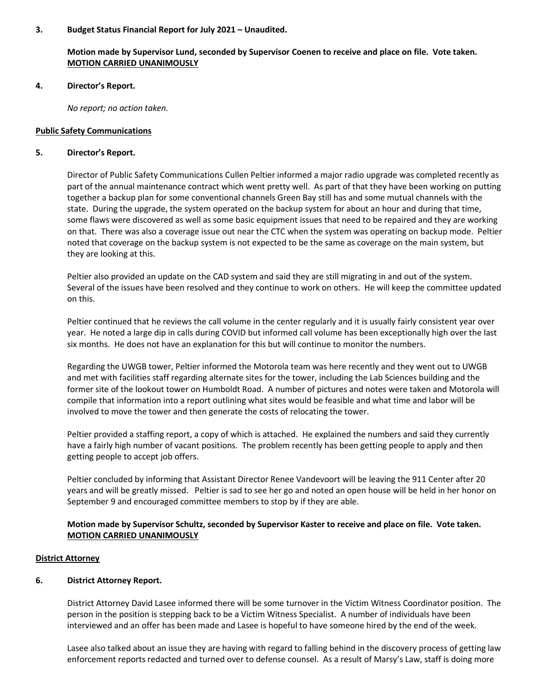### **3. Budget Status Financial Report for July 2021 – Unaudited.**

## **Motion made by Supervisor Lund, seconded by Supervisor Coenen to receive and place on file. Vote taken. MOTION CARRIED UNANIMOUSLY**

#### **4. Director's Report.**

*No report; no action taken.*

#### **Public Safety Communications**

#### **5. Director's Report.**

Director of Public Safety Communications Cullen Peltier informed a major radio upgrade was completed recently as part of the annual maintenance contract which went pretty well. As part of that they have been working on putting together a backup plan for some conventional channels Green Bay still has and some mutual channels with the state. During the upgrade, the system operated on the backup system for about an hour and during that time, some flaws were discovered as well as some basic equipment issues that need to be repaired and they are working on that. There was also a coverage issue out near the CTC when the system was operating on backup mode. Peltier noted that coverage on the backup system is not expected to be the same as coverage on the main system, but they are looking at this.

Peltier also provided an update on the CAD system and said they are still migrating in and out of the system. Several of the issues have been resolved and they continue to work on others. He will keep the committee updated on this.

Peltier continued that he reviews the call volume in the center regularly and it is usually fairly consistent year over year. He noted a large dip in calls during COVID but informed call volume has been exceptionally high over the last six months. He does not have an explanation for this but will continue to monitor the numbers.

Regarding the UWGB tower, Peltier informed the Motorola team was here recently and they went out to UWGB and met with facilities staff regarding alternate sites for the tower, including the Lab Sciences building and the former site of the lookout tower on Humboldt Road. A number of pictures and notes were taken and Motorola will compile that information into a report outlining what sites would be feasible and what time and labor will be involved to move the tower and then generate the costs of relocating the tower.

Peltier provided a staffing report, a copy of which is attached. He explained the numbers and said they currently have a fairly high number of vacant positions. The problem recently has been getting people to apply and then getting people to accept job offers.

Peltier concluded by informing that Assistant Director Renee Vandevoort will be leaving the 911 Center after 20 years and will be greatly missed. Peltier is sad to see her go and noted an open house will be held in her honor on September 9 and encouraged committee members to stop by if they are able.

## **Motion made by Supervisor Schultz, seconded by Supervisor Kaster to receive and place on file. Vote taken. MOTION CARRIED UNANIMOUSLY**

### **District Attorney**

### **6. District Attorney Report.**

District Attorney David Lasee informed there will be some turnover in the Victim Witness Coordinator position. The person in the position is stepping back to be a Victim Witness Specialist. A number of individuals have been interviewed and an offer has been made and Lasee is hopeful to have someone hired by the end of the week.

Lasee also talked about an issue they are having with regard to falling behind in the discovery process of getting law enforcement reports redacted and turned over to defense counsel. As a result of Marsy's Law, staff is doing more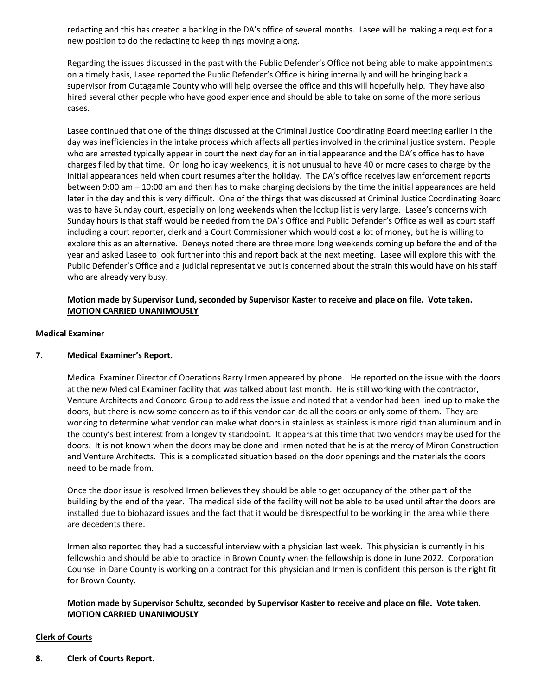redacting and this has created a backlog in the DA's office of several months. Lasee will be making a request for a new position to do the redacting to keep things moving along.

Regarding the issues discussed in the past with the Public Defender's Office not being able to make appointments on a timely basis, Lasee reported the Public Defender's Office is hiring internally and will be bringing back a supervisor from Outagamie County who will help oversee the office and this will hopefully help. They have also hired several other people who have good experience and should be able to take on some of the more serious cases.

Lasee continued that one of the things discussed at the Criminal Justice Coordinating Board meeting earlier in the day was inefficiencies in the intake process which affects all parties involved in the criminal justice system. People who are arrested typically appear in court the next day for an initial appearance and the DA's office has to have charges filed by that time. On long holiday weekends, it is not unusual to have 40 or more cases to charge by the initial appearances held when court resumes after the holiday. The DA's office receives law enforcement reports between 9:00 am – 10:00 am and then has to make charging decisions by the time the initial appearances are held later in the day and this is very difficult. One of the things that was discussed at Criminal Justice Coordinating Board was to have Sunday court, especially on long weekends when the lockup list is very large. Lasee's concerns with Sunday hours is that staff would be needed from the DA's Office and Public Defender's Office as well as court staff including a court reporter, clerk and a Court Commissioner which would cost a lot of money, but he is willing to explore this as an alternative. Deneys noted there are three more long weekends coming up before the end of the year and asked Lasee to look further into this and report back at the next meeting. Lasee will explore this with the Public Defender's Office and a judicial representative but is concerned about the strain this would have on his staff who are already very busy.

## **Motion made by Supervisor Lund, seconded by Supervisor Kaster to receive and place on file. Vote taken. MOTION CARRIED UNANIMOUSLY**

## **Medical Examiner**

### **7. Medical Examiner's Report.**

Medical Examiner Director of Operations Barry Irmen appeared by phone. He reported on the issue with the doors at the new Medical Examiner facility that was talked about last month. He is still working with the contractor, Venture Architects and Concord Group to address the issue and noted that a vendor had been lined up to make the doors, but there is now some concern as to if this vendor can do all the doors or only some of them. They are working to determine what vendor can make what doors in stainless as stainless is more rigid than aluminum and in the county's best interest from a longevity standpoint. It appears at this time that two vendors may be used for the doors. It is not known when the doors may be done and Irmen noted that he is at the mercy of Miron Construction and Venture Architects. This is a complicated situation based on the door openings and the materials the doors need to be made from.

Once the door issue is resolved Irmen believes they should be able to get occupancy of the other part of the building by the end of the year. The medical side of the facility will not be able to be used until after the doors are installed due to biohazard issues and the fact that it would be disrespectful to be working in the area while there are decedents there.

Irmen also reported they had a successful interview with a physician last week. This physician is currently in his fellowship and should be able to practice in Brown County when the fellowship is done in June 2022. Corporation Counsel in Dane County is working on a contract for this physician and Irmen is confident this person is the right fit for Brown County.

## **Motion made by Supervisor Schultz, seconded by Supervisor Kaster to receive and place on file. Vote taken. MOTION CARRIED UNANIMOUSLY**

## **Clerk of Courts**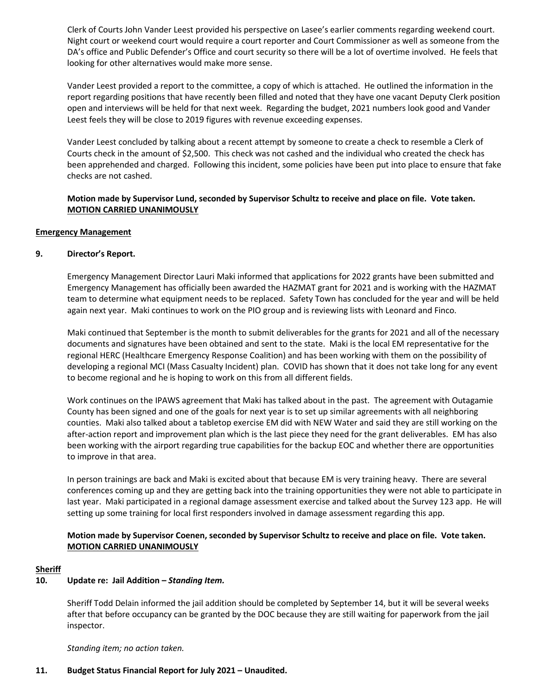Clerk of Courts John Vander Leest provided his perspective on Lasee's earlier comments regarding weekend court. Night court or weekend court would require a court reporter and Court Commissioner as well as someone from the DA's office and Public Defender's Office and court security so there will be a lot of overtime involved. He feels that looking for other alternatives would make more sense.

Vander Leest provided a report to the committee, a copy of which is attached. He outlined the information in the report regarding positions that have recently been filled and noted that they have one vacant Deputy Clerk position open and interviews will be held for that next week. Regarding the budget, 2021 numbers look good and Vander Leest feels they will be close to 2019 figures with revenue exceeding expenses.

Vander Leest concluded by talking about a recent attempt by someone to create a check to resemble a Clerk of Courts check in the amount of \$2,500. This check was not cashed and the individual who created the check has been apprehended and charged. Following this incident, some policies have been put into place to ensure that fake checks are not cashed.

## **Motion made by Supervisor Lund, seconded by Supervisor Schultz to receive and place on file. Vote taken. MOTION CARRIED UNANIMOUSLY**

### **Emergency Management**

## **9. Director's Report.**

Emergency Management Director Lauri Maki informed that applications for 2022 grants have been submitted and Emergency Management has officially been awarded the HAZMAT grant for 2021 and is working with the HAZMAT team to determine what equipment needs to be replaced. Safety Town has concluded for the year and will be held again next year. Maki continues to work on the PIO group and is reviewing lists with Leonard and Finco.

Maki continued that September is the month to submit deliverables for the grants for 2021 and all of the necessary documents and signatures have been obtained and sent to the state. Maki is the local EM representative for the regional HERC (Healthcare Emergency Response Coalition) and has been working with them on the possibility of developing a regional MCI (Mass Casualty Incident) plan. COVID has shown that it does not take long for any event to become regional and he is hoping to work on this from all different fields.

Work continues on the IPAWS agreement that Maki has talked about in the past. The agreement with Outagamie County has been signed and one of the goals for next year is to set up similar agreements with all neighboring counties. Maki also talked about a tabletop exercise EM did with NEW Water and said they are still working on the after-action report and improvement plan which is the last piece they need for the grant deliverables. EM has also been working with the airport regarding true capabilities for the backup EOC and whether there are opportunities to improve in that area.

In person trainings are back and Maki is excited about that because EM is very training heavy. There are several conferences coming up and they are getting back into the training opportunities they were not able to participate in last year. Maki participated in a regional damage assessment exercise and talked about the Survey 123 app. He will setting up some training for local first responders involved in damage assessment regarding this app.

## **Motion made by Supervisor Coenen, seconded by Supervisor Schultz to receive and place on file. Vote taken. MOTION CARRIED UNANIMOUSLY**

### **Sheriff**

## **10. Update re: Jail Addition –** *Standing Item.*

Sheriff Todd Delain informed the jail addition should be completed by September 14, but it will be several weeks after that before occupancy can be granted by the DOC because they are still waiting for paperwork from the jail inspector.

*Standing item; no action taken.* 

## **11. Budget Status Financial Report for July 2021 – Unaudited.**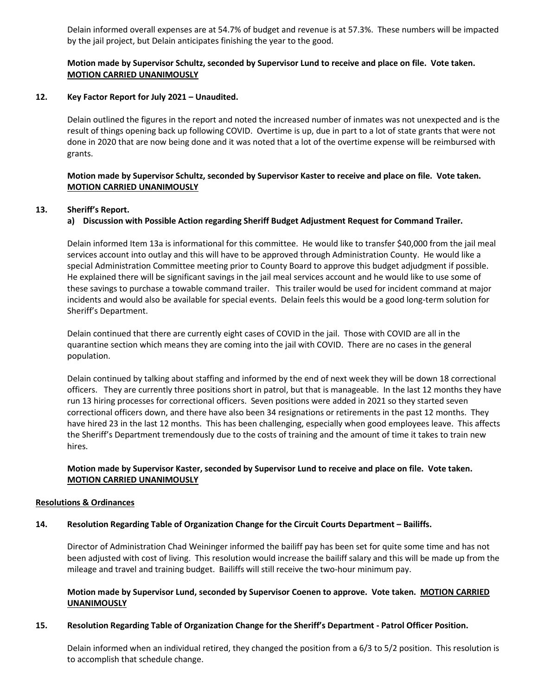Delain informed overall expenses are at 54.7% of budget and revenue is at 57.3%. These numbers will be impacted by the jail project, but Delain anticipates finishing the year to the good.

## **Motion made by Supervisor Schultz, seconded by Supervisor Lund to receive and place on file. Vote taken. MOTION CARRIED UNANIMOUSLY**

## **12. Key Factor Report for July 2021 – Unaudited.**

Delain outlined the figures in the report and noted the increased number of inmates was not unexpected and is the result of things opening back up following COVID. Overtime is up, due in part to a lot of state grants that were not done in 2020 that are now being done and it was noted that a lot of the overtime expense will be reimbursed with grants.

## **Motion made by Supervisor Schultz, seconded by Supervisor Kaster to receive and place on file. Vote taken. MOTION CARRIED UNANIMOUSLY**

## **13. Sheriff's Report.**

## **a) Discussion with Possible Action regarding Sheriff Budget Adjustment Request for Command Trailer.**

Delain informed Item 13a is informational for this committee. He would like to transfer \$40,000 from the jail meal services account into outlay and this will have to be approved through Administration County. He would like a special Administration Committee meeting prior to County Board to approve this budget adjudgment if possible. He explained there will be significant savings in the jail meal services account and he would like to use some of these savings to purchase a towable command trailer. This trailer would be used for incident command at major incidents and would also be available for special events. Delain feels this would be a good long-term solution for Sheriff's Department.

Delain continued that there are currently eight cases of COVID in the jail. Those with COVID are all in the quarantine section which means they are coming into the jail with COVID. There are no cases in the general population.

Delain continued by talking about staffing and informed by the end of next week they will be down 18 correctional officers. They are currently three positions short in patrol, but that is manageable. In the last 12 months they have run 13 hiring processes for correctional officers. Seven positions were added in 2021 so they started seven correctional officers down, and there have also been 34 resignations or retirements in the past 12 months. They have hired 23 in the last 12 months. This has been challenging, especially when good employees leave. This affects the Sheriff's Department tremendously due to the costs of training and the amount of time it takes to train new hires.

## **Motion made by Supervisor Kaster, seconded by Supervisor Lund to receive and place on file. Vote taken. MOTION CARRIED UNANIMOUSLY**

### **Resolutions & Ordinances**

### **14. Resolution Regarding Table of Organization Change for the Circuit Courts Department – Bailiffs.**

Director of Administration Chad Weininger informed the bailiff pay has been set for quite some time and has not been adjusted with cost of living. This resolution would increase the bailiff salary and this will be made up from the mileage and travel and training budget. Bailiffs will still receive the two-hour minimum pay.

## **Motion made by Supervisor Lund, seconded by Supervisor Coenen to approve. Vote taken. MOTION CARRIED UNANIMOUSLY**

### **15. Resolution Regarding Table of Organization Change for the Sheriff's Department - Patrol Officer Position.**

Delain informed when an individual retired, they changed the position from a 6/3 to 5/2 position. This resolution is to accomplish that schedule change.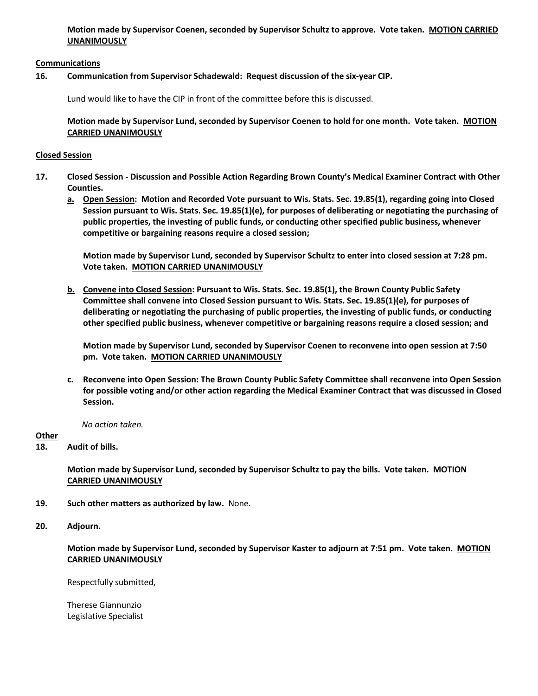**Motion made by Supervisor Coenen, seconded by Supervisor Schultz to approve. Vote taken. MOTION CARRIED UNANIMOUSLY**

## **Communications**

## **16. Communication from Supervisor Schadewald: Request discussion of the six-year CIP.**

Lund would like to have the CIP in front of the committee before this is discussed.

**Motion made by Supervisor Lund, seconded by Supervisor Coenen to hold for one month. Vote taken. MOTION CARRIED UNANIMOUSLY**

## **Closed Session**

- **17. Closed Session Discussion and Possible Action Regarding Brown County's Medical Examiner Contract with Other Counties.**
	- **a. Open Session: Motion and Recorded Vote pursuant to Wis. Stats. Sec. 19.85(1), regarding going into Closed Session pursuant to Wis. Stats. Sec. 19.85(1)(e), for purposes of deliberating or negotiating the purchasing of public properties, the investing of public funds, or conducting other specified public business, whenever competitive or bargaining reasons require a closed session;**

**Motion made by Supervisor Lund, seconded by Supervisor Schultz to enter into closed session at 7:28 pm. Vote taken. MOTION CARRIED UNANIMOUSLY**

**b. Convene into Closed Session: Pursuant to Wis. Stats. Sec. 19.85(1), the Brown County Public Safety Committee shall convene into Closed Session pursuant to Wis. Stats. Sec. 19.85(1)(e), for purposes of deliberating or negotiating the purchasing of public properties, the investing of public funds, or conducting other specified public business, whenever competitive or bargaining reasons require a closed session; and**

**Motion made by Supervisor Lund, seconded by Supervisor Coenen to reconvene into open session at 7:50 pm. Vote taken. MOTION CARRIED UNANIMOUSLY**

**c. Reconvene into Open Session: The Brown County Public Safety Committee shall reconvene into Open Session for possible voting and/or other action regarding the Medical Examiner Contract that was discussed in Closed Session.**

 *No action taken.* 

## **Other**

**18. Audit of bills.**

**Motion made by Supervisor Lund, seconded by Supervisor Schultz to pay the bills. Vote taken. MOTION CARRIED UNANIMOUSLY**

- **19. Such other matters as authorized by law.** None.
- **20. Adjourn.**

**Motion made by Supervisor Lund, seconded by Supervisor Kaster to adjourn at 7:51 pm. Vote taken. MOTION CARRIED UNANIMOUSLY**

Respectfully submitted,

Therese Giannunzio Legislative Specialist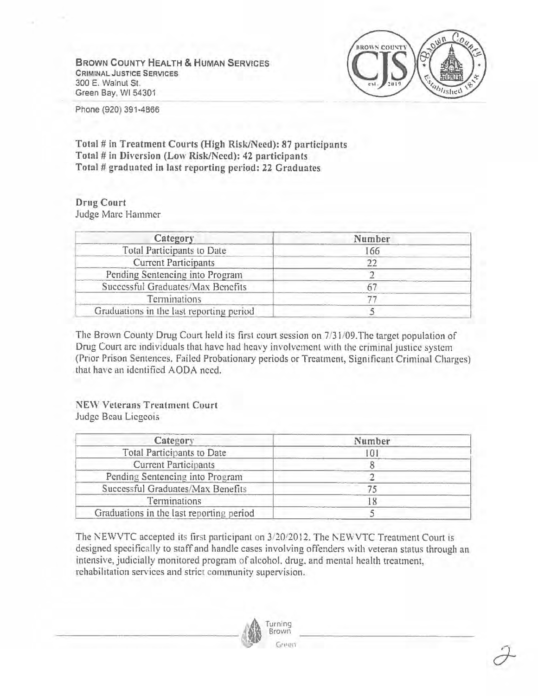**BROWN COUNTY HEALTH** & **HUMAN SERVICES CRIMINAL JUSTICE SERVICES**  300 E. Walnut St. Green Bay, WI 54301



Phone(920} 391-4866

**Total# in Treatment Courts (High Risk/Need): 87 participants Total# in Diversion (Low Risk/Need): 42 participants Total# graduated in last reporting period: 22 Graduates** 

## **Drug Court**  Judge Marc Hammer

| Category                                 | Number |  |
|------------------------------------------|--------|--|
| Total Participants to Date               | 166    |  |
| <b>Current Participants</b>              |        |  |
| Pending Sentencing into Program          |        |  |
| Successful Graduates/Max Benefits        |        |  |
| Terminations                             |        |  |
| Graduations in the last reporting period |        |  |

The Brown County Drug Court held its first court session on 7/31/09. The target population of Drug Court arc individuals that have had heavy involvement with the criminal justice system (Prior Prison Sentences. Failed Probationary periods or Treatment, Significant Criminal Charges) that have an identified AODA need.

## NEW Veterans Treatment Court Judge Beau Licgcois

| Category                                 | Number |  |  |
|------------------------------------------|--------|--|--|
| Total Participants to Date               |        |  |  |
| <b>Current Participants</b>              |        |  |  |
| Pending Sentencing into Program          |        |  |  |
| Successful Graduates/Max Benefits        |        |  |  |
| Terminations                             |        |  |  |
| Graduations in the last reporting period |        |  |  |

The NEWVTC accepted its first participant on  $3/20/2012$ . The NEWVTC Treatment Court is designed specifically to staff and handle cases involving offenders with veteran status through an intensive, judicially monitored program of alcohol. drug. and mental health treatment, rehabilitation services and strict community supervision.

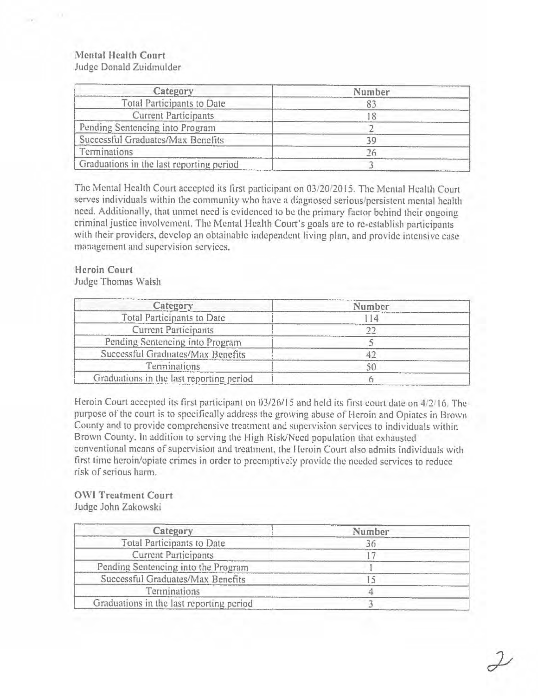## **Mental Health Court**  Judge Donald Zuidmulder

| Category                                 | Number |  |  |
|------------------------------------------|--------|--|--|
| <b>Total Participants to Date</b>        |        |  |  |
| <b>Current Participants</b>              |        |  |  |
| Pending Sentencing into Program          |        |  |  |
| Successful Graduates/Max Benefits        | 30     |  |  |
| Terminations                             |        |  |  |
| Graduations in the last reporting period |        |  |  |

The Mental Health Court accepted its first participant on 03/20/2015. The Mental Health Court serves individuals within the community who have a diagnosed serious/persistent mental health need. Additionally, that unmet need is evidenced to be the primary factor behind their ongoing criminal justice involvement. The Mental Health Court's goals arc to re-establish participants with their providers, develop an obtainable independent living plan, and provide intensive case management and supervision services.

## **Heroin Court**

Judge Thomas Walsh

| Category                                 | Number |  |  |
|------------------------------------------|--------|--|--|
| Total Participants to Date               |        |  |  |
| <b>Current Participants</b>              |        |  |  |
| Pending Sentencing into Program          |        |  |  |
| Successful Graduates/Max Benefits        |        |  |  |
| Terminations                             | 50     |  |  |
| Graduations in the last reporting period |        |  |  |

Heroin Court accepted its first participant on 03/26/15 and held its first court date on 4/2/16. The purpose of the court is to specifically address the growing abuse of Heroin and Opiates in Brown County and to provide comprehensive treatment and supervision services to individuals within Brown County. In addition to serving the High Risk/Need population that exhausted conventional means of supervision and treatment, the Heroin Court also admits individuals with first time heroin/opiate crimes in order to preemptively provide the needed services to reduce risk of serious ham,.

## **OWi Treatment Court**  Judge John Zakowski

| Category                                 | Number |  |
|------------------------------------------|--------|--|
| <b>Total Participants to Date</b>        |        |  |
| <b>Current Participants</b>              |        |  |
| Pending Sentencing into the Program      |        |  |
| Successful Graduates/Max Benefits        |        |  |
| Terminations                             |        |  |
| Graduations in the last reporting period |        |  |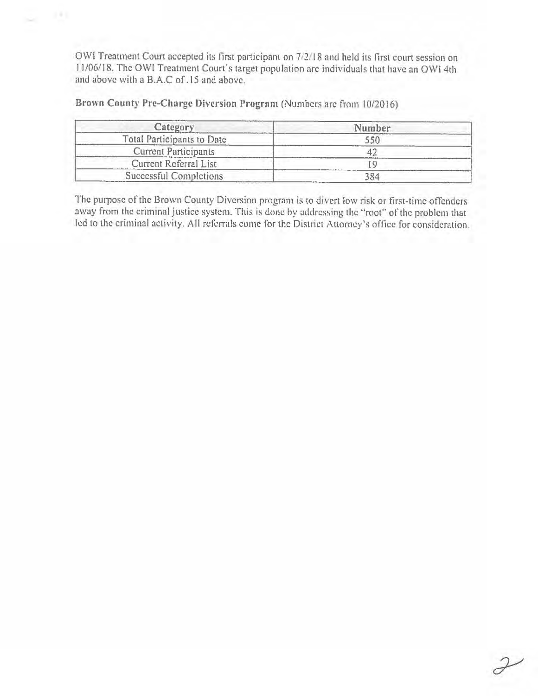OWI Treatment Court accepted its first participant on 7/2/18 and held its first court session on I 1/06/18. The OWi Treatment Court's target population arc individuals that have an OWi 4th and above with a B.A.C of .15 and above.

Brown County Pre-Charge Diversion Program (Numbers arc from 10/2016)

 $141$ 

| Category                    | Number |  |
|-----------------------------|--------|--|
| Total Participants to Date  | 550    |  |
| <b>Current Participants</b> |        |  |
| Current Referral List       |        |  |
| Successful Completions      | 184    |  |

The purpose of the Brown County Diversion program is to divert low risk or first-time offenders away from the criminal justice system. This is done by addressing the "root" of the problem that led to the criminal activity. All referrals come for the District Attorney's office for consideration.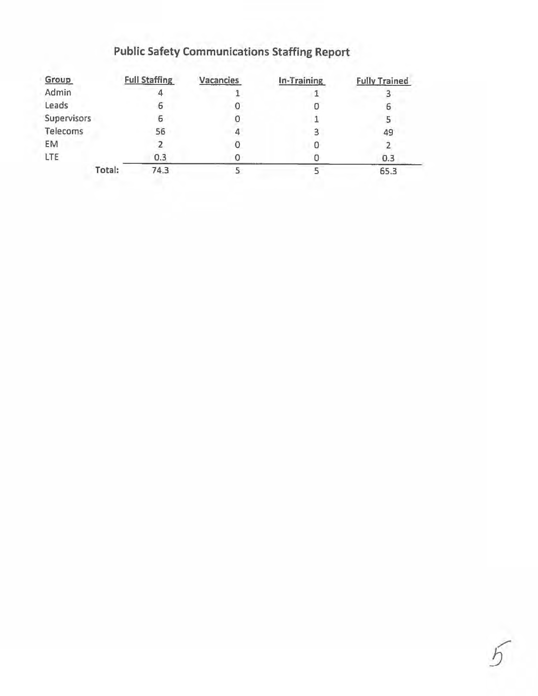# Public Safety Communications Staffing Report

|        | <b>Full Staffing</b> | Vacancies | In-Training | <b>Fully Trained</b> |
|--------|----------------------|-----------|-------------|----------------------|
|        |                      |           |             |                      |
|        | ь                    |           |             | ь                    |
|        | ь                    |           |             |                      |
|        | 56                   |           |             | 49                   |
|        |                      |           |             |                      |
|        | 0.3                  |           |             | 0.3                  |
| Total: | 74.3                 |           |             | 65.3                 |
|        | Supervisors          |           |             |                      |